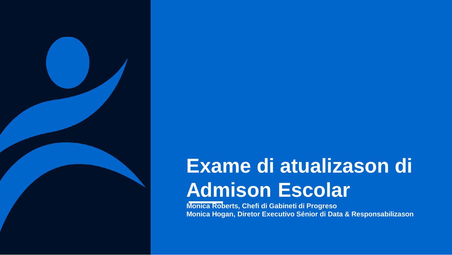

# **Exame di atualizason di Admison Escolar**

**Monica Roberts, Chefi di Gabineti di Progreso Monica Hogan, Diretor Executivo Sénior di Data & Responsabilizason**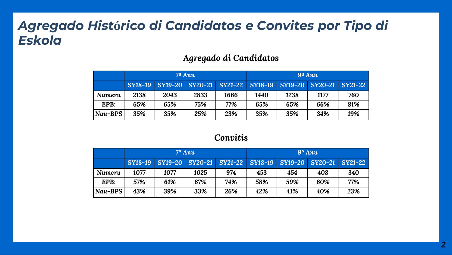### *Agregado Hist***ó***rico di Candidatos e Convites por Tipo di Eskola*

#### *Agregado di Candidatos*

|         | $7^{\circ}$ Anu |                         |      | $9^{\circ}$ Anu |                |                |                |                |
|---------|-----------------|-------------------------|------|-----------------|----------------|----------------|----------------|----------------|
|         | SY18-19         | SY19-20 SY20-21 SY21-22 |      |                 | <b>SY18-19</b> | <b>SY19-20</b> | <b>SY20-21</b> | <b>SY21-22</b> |
| Numeru  | 2138            | 2043                    | 2833 | 1666            | 1440           | 1238           | 1177           | 760            |
| EPB:    | 65%             | 65%                     | 75%  | 77%             | 65%            | 65%            | 66%            | 81%            |
| Nau-BPS | 35%             | 35%                     | 25%  | 23%             | 35%            | 35%            | 34%            | 19%            |

#### *Convitis*

|         | $7^{\circ}$ Anu |                                                                 |      | $9^{\circ}$ Anu |     |     |     |     |
|---------|-----------------|-----------------------------------------------------------------|------|-----------------|-----|-----|-----|-----|
|         |                 | SY18-19 SY19-20 SY20-21 SY21-22 SY18-19 SY19-20 SY20-21 SY21-22 |      |                 |     |     |     |     |
| Numeru  | 1077            | 1077                                                            | 1025 | 974             | 453 | 454 | 408 | 340 |
| EPR:    | 57%             | 61%                                                             | 67%  | 74%             | 58% | 59% | 60% | 77% |
| Nau-BPS | 43%             | 39%                                                             | 33%  | 26%             | 42% | 41% | 40% | 23% |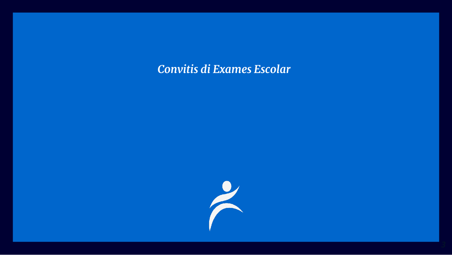#### *Convitis di Exames Escolar*

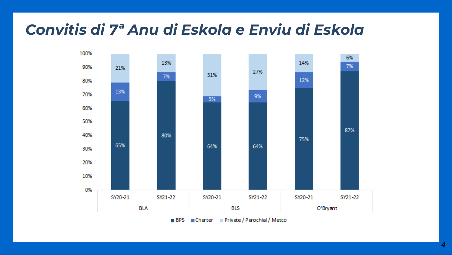# *Convitis di 7ª Anu di Eskola e Enviu di Eskola*

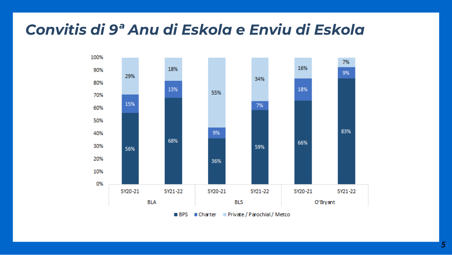# *Convitis di 9ª Anu di Eskola e Enviu di Eskola*

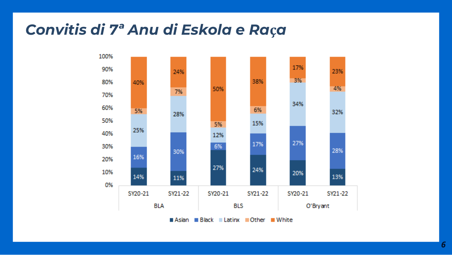# Convitis di 7ª Anu di Eskola e Raça

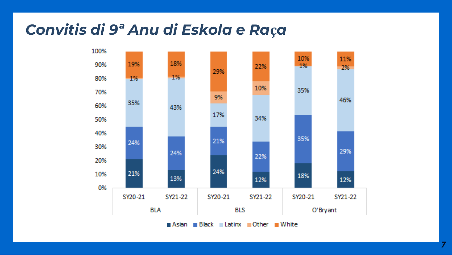# Convitis di 9ª Anu di Eskola e Raça



7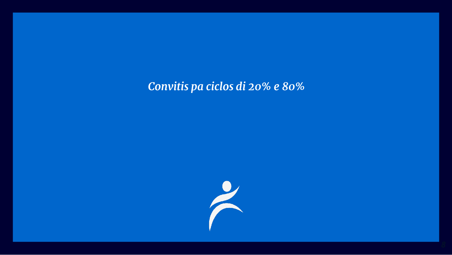### *Convitis pa ciclos di 20% e 80%*

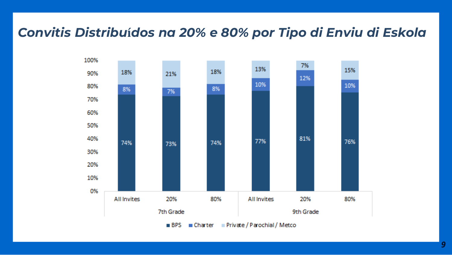#### *Convitis Distribu***í***dos na 20% e 80% por Tipo di Enviu di Eskola*

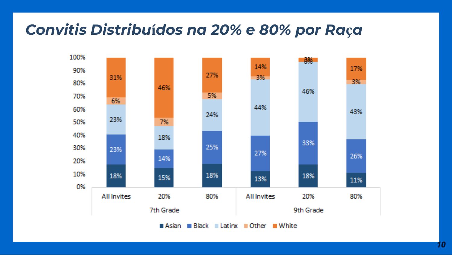# Convitis Distribuídos na 20% e 80% por Raça

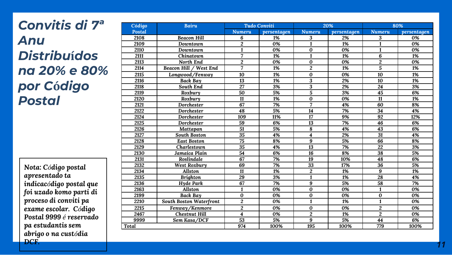# *Convitis di 7ª Anu Distribu***í***dos na 20% e 80% por C***ó***digo Postal*

*Nota: Código postal apresentado ta indicacódigo postal que foi uzado komo parti di proceso di conviti pa exame escolar. Código Postal 9999 é reservado pa estudantis sem abrigo o na custódia DCF.*

| Código | <b>Bairu</b>            | <b>Tudo Conviti</b>     |                  | 20%                     |             | 80%              |             |
|--------|-------------------------|-------------------------|------------------|-------------------------|-------------|------------------|-------------|
| Postal |                         | <b>Numeru</b>           | persentagen      | <b>Numeru</b>           | persentagen | <b>Numeru</b>    | persentagen |
| 2108   | <b>Beacon Hill</b>      | 6                       | 1%               | 3                       | 2%          | 3                | 0%          |
| 2109   | Downtown                | $\overline{c}$          | 0%               | $\mathbf{1}$            | 1%          | 1                | 0%          |
| 2110   | Downtown                | $\mathbf{1}$            | 0%               | $\bf{0}$                | 0%          | $\mathbf{1}$     | 0%          |
| 2111   | Chinatown               | 7                       | 1%               | $\overline{\mathbf{1}}$ | 1%          | 6                | 1%          |
| 2113   | North End               | 2                       | 0%               | $\bf{0}$                | 0%          | $\overline{2}$   | 0%          |
| 2114   | Beacon Hill / West End  | 7                       | 1%               | $\overline{2}$          | 1%          | $\overline{5}$   | 1%          |
| 2115   | Longwood/Fenway         | 10                      | 1%               | $\bf{0}$                | 0%          | $\overline{10}$  | 1%          |
| 2116   | Back Bay                | 13                      | 1%               | 3                       | 2%          | 10               | 1%          |
| 2118   | South End               | $\overline{27}$         | $\overline{3\%}$ | $\overline{\mathbf{3}}$ | 2%          | $\overline{24}$  | 3%          |
| 2119   | Roxbury                 | 50                      | 5%               | $\overline{5}$          | 3%          | $\overline{45}$  | 6%          |
| 2120   | Roxbury                 | 11                      | 1%               | $\bf{0}$                | 0%          | 11               | 1%          |
| 2121   | Dorchester              | 67                      | 7%               | 7                       | 4%          | 60               | 8%          |
| 2122   | Dorchester              | 48                      | 5%               | 14                      | 7%          | 34               | 4%          |
| 2124   | Dorchester              | 109                     | 11%              | 17                      | 9%          | 92               | 12%         |
| 2125   | Dorchester              | 59                      | 6%               | 13                      | 7%          | 46               | 6%          |
| 2126   | Mattapan                | 51                      | 5%               | 8                       | 4%          | 43               | 6%          |
| 2127   | <b>South Boston</b>     | $\overline{35}$         | 4%               | $\overline{\mathbf{4}}$ | 2%          | $\overline{31}$  | 4%          |
| 2128   | <b>East Boston</b>      | 75                      | 8%               | 9                       | 5%          | 66               | 8%          |
| 2129   | Charlestown             | 35                      | 4%               | 13                      | 7%          | 22               | 3%          |
| 2130   | Jamaica Plain           | $\overline{54}$         | 6%               | $\overline{16}$         | 8%          | $\overline{38}$  | 5%          |
| 2131   | Roslindale              | 67                      | 7%               | 19                      | 10%         | 48               | 6%          |
| 2132   | West Roxbury            | 69                      | 7%               | 33                      | 17%         | $\overline{36}$  | 5%          |
| 2134   | Allston                 | 11                      | 1%               | $\boldsymbol{2}$        | 1%          | 9                | 1%          |
| 2135   | <b>Brighton</b>         | 29                      | 3%               | 1                       | 1%          | 28               | 4%          |
| 2136   | Hyde Park               | 67                      | 7%               | 9                       | 5%          | 58               | 7%          |
| 2163   | Allston                 | $\mathbf{1}$            | 0%               | $\bf{0}$                | 0%          | $\mathbf{1}$     | 0%          |
| 2199   | Back Bay                | $\bf{0}$                | 0%               | $\bf{0}$                | 0%          | $\bf{0}$         | 0%          |
| 2210   | South Boston Waterfront | $\overline{\mathbf{c}}$ | 0%               | $\mathbf{1}$            | 1%          | $\mathbf{1}$     | 0%          |
| 2215   | Fenway/Kenmore          | $\overline{\mathbf{c}}$ | 0%               | $\bf{0}$                | 0%          | $\boldsymbol{2}$ | 0%          |
| 2467   | <b>Chestnut Hill</b>    | 4                       | 0%               | $\overline{2}$          | 1%          | $\overline{2}$   | 0%          |
| 9999   | Sem Kasa/DCF            | 53                      | 5%               | 9                       | 5%          | 44               | 6%          |
| Total  |                         | 974                     | 100%             | 195                     | 100%        | 779              | 100%        |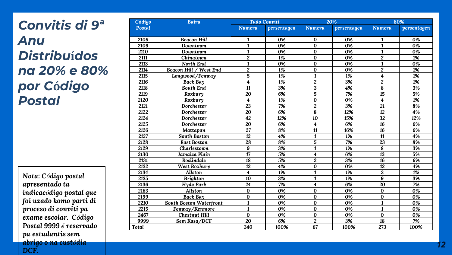# *Convitis di 9ª Anu Distribu* **í***dos na 20% e 80% por C* **ó***digo Postal*

*Nota: C ódigo postal apresentado ta indicac ódigo postal que foi uzado komo parti di proceso di conviti pa exame escolar. C ódigo Postal 9999 é reservado pa estudantis sem abrigo o na cust ódia DCF.*

| Código | <b>Bairu</b>            |                         | <b>Tudo Conviti</b><br>20% |                |                  | 80%             |             |
|--------|-------------------------|-------------------------|----------------------------|----------------|------------------|-----------------|-------------|
| Postal |                         | <b>Numeru</b>           | persentagen                | <b>Numeru</b>  | persentagen      | <b>Numeru</b>   | persentagen |
|        |                         |                         |                            |                |                  |                 |             |
| 2108   | <b>Beacon Hill</b>      | 1                       | 0%                         | 0              | 0%               | 1               | 0%          |
| 2109   | Downtown                | $\mathbf{1}$            | 0%                         | $\bf{0}$       | 0%               | $\mathbf{1}$    | 0%          |
| 2110   | Downtown                | $\mathbf{1}$            | 0%                         | $\bf{0}$       | 0%               | $\mathbf{1}$    | 0%          |
| 2111   | Chinatown               | $\overline{c}$          | 1%                         | $\bf{0}$       | 0%               | $\overline{2}$  | 1%          |
| 2113   | North End               | $\mathbf{1}$            | 0%                         | $\bf{0}$       | 0%               | $\mathbf{1}$    | 0%          |
| 2114   | Beacon Hill / West End  | $\overline{c}$          | 1%                         | $\bf{0}$       | 0%               | $\overline{2}$  | 1%          |
| 2115   | Longwood/Fenway         | 5                       | 1%                         | $\mathbf{1}$   | 1%               | 4               | 1%          |
| 2116   | <b>Back Bay</b>         | $\overline{\mathbf{4}}$ | 1%                         | $\overline{2}$ | 3%               | $\overline{2}$  | 1%          |
| 2118   | South End               | 11                      | 3%                         | 3              | 4%               | 8               | 3%          |
| 2119   | Roxbury                 | 20                      | 6%                         | 5              | 7%               | 15              | 5%          |
| 2120   | Roxbury                 | $\overline{\mathbf{4}}$ | 1%                         | $\bf{0}$       | $\overline{0\%}$ | 4               | 1%          |
| 2121   | Dorchester              | 23                      | 7%                         | $\overline{2}$ | 3%               | 21              | 8%          |
| 2122   | Dorchester              | $\overline{20}$         | 6%                         | 8              | 12%              | 12              | 4%          |
| 2124   | Dorchester              | 42                      | 12%                        | 10             | 15%              | $\overline{32}$ | 12%         |
| 2125   | Dorchester              | 20                      | 6%                         | 4              | 6%               | 16              | 6%          |
| 2126   | Mattapan                | 27                      | 8%                         | 11             | 16%              | 16              | 6%          |
| 2127   | <b>South Boston</b>     | 12                      | 4%                         | $\mathbf{1}$   | 1%               | 11              | 4%          |
| 2128   | <b>East Boston</b>      | 28                      | 8%                         | 5              | 7%               | 23              | 8%          |
| 2129   | Charlestown             | 9                       | 3%                         | $\mathbf{1}$   | 1%               | 8               | 3%          |
| 2130   | Jamaica Plain           | 17                      | 5%                         | 4              | 6%               | $\overline{13}$ | 5%          |
| 2131   | Roslindale              | 18                      | 5%                         | $\overline{c}$ | 3%               | 16              | 6%          |
| 2132   | <b>West Roxbury</b>     | 12                      | 4%                         | $\bf{0}$       | 0%               | 12              | 4%          |
| 2134   | <b>Allston</b>          | $\overline{\mathbf{4}}$ | 1%                         | $\mathbf{1}$   | 1%               | 3               | 1%          |
| 2135   | <b>Brighton</b>         | 10                      | 3%                         | $\mathbf{1}$   | 1%               | 9               | 3%          |
| 2136   | Hyde Park               | $\overline{24}$         | 7%                         | 4              | 6%               | 20              | 7%          |
| 2163   | Allston                 | $\bf{0}$                | 0%                         | $\bf{0}$       | 0%               | 0               | 0%          |
| 2199   | <b>Back Bay</b>         | $\bf{0}$                | 0%                         | $\bf{0}$       | 0%               | 0               | 0%          |
| 2210   | South Boston Waterfront | $\mathbf{1}$            | 0%                         | $\bf{0}$       | 0%               | $\mathbf{1}$    | 0%          |
| 2215   | Fenway/Kenmore          | $\mathbf{1}$            | 0%                         | $\bf{0}$       | 0%               | $\mathbf{1}$    | 0%          |
| 2467   | <b>Chestnut Hill</b>    | $\bf{0}$                | 0%                         | $\bf{0}$       | 0%               | $\bf{0}$        | 0%          |
| 9999   | Sem Kasa/DCF            | $\overline{20}$         | 6%                         | $\overline{2}$ | 3%               | 18              | 7%          |
| Total  |                         | 340                     | 100%                       | 67             | 100%             | 273             | 100%        |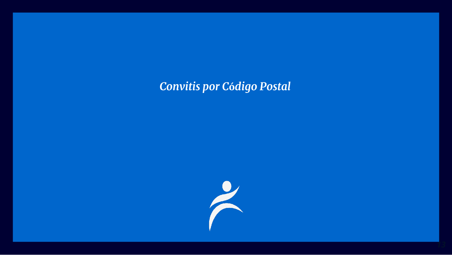### Convitis por Código Postal

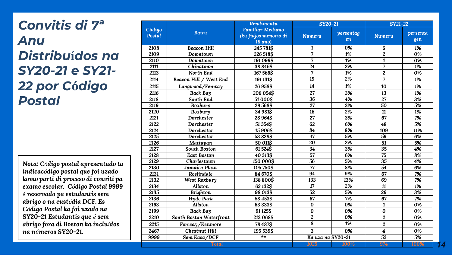# *Convitis di 7ª Anu Distribu***í***dos na SY20-21 e SY21- 22 por C***ó***digo Postal*

*Nota: Código postal apresentado ta indicacódigo postal que foi uzado komo parti di proceso di conviti pa exame escolar. Código Postal 9999 é reservado pa estudantis sem abrigo o na custódia DCF. Es Código Postal ka foi uzado na SY20-21 Estudantis que é sem abrigo fora di Boston ka incluídos na números SY20-21.*

|                         |                                | Rendimentu                                                         | SY20-21           |                 | <b>SY21-22</b>          |                 |
|-------------------------|--------------------------------|--------------------------------------------------------------------|-------------------|-----------------|-------------------------|-----------------|
| Código<br><b>Postal</b> | <b>Bairu</b>                   | <b>Famíliar Mediano</b><br>(ku fidjos menoris di<br><b>18 ano)</b> | <b>Numeru</b>     | persentag<br>en | <b>Numeru</b>           | persenta<br>gen |
| 2108                    | <b>Beacon Hill</b>             | 245 781\$                                                          | $\mathbf{1}$      | 0%              | 6                       | 1%              |
| 2109                    | Downtown                       | 226 518\$                                                          | 7                 | 1%              | $\overline{c}$          | 0%              |
| 2110                    | Downtown                       | 191099\$                                                           | 7                 | 1%              | $\mathbf{1}$            | 0%              |
| 2111                    | Chinatown                      | 38 846\$                                                           | $\overline{24}$   | 2%              | 7                       | 1%              |
| 2113                    | North End                      | 167566\$                                                           | 7                 | 1%              | $\overline{c}$          | 0%              |
| 2114                    | Beacon Hill / West End         | 191131\$                                                           | 19                | 2%              | $\overline{7}$          | 1%              |
| 2115                    | Longwood/Fenway                | 26 958\$                                                           | 14                | 1%              | 10                      | 1%              |
| 2116                    | <b>Back Bay</b>                | 206 054\$                                                          | 27                | 3%              | 13                      | 1%              |
| 2118                    | South End                      | 51000\$                                                            | 36                | 4%              | 27                      | 3%              |
| 2119                    | Roxbury                        | 29568\$                                                            | 27                | 3%              | 50                      | 5%              |
| 2120                    | Roxbury                        | 34 981\$                                                           | 16                | 2%              | 11                      | 1%              |
| 2121                    | Dorchester                     | 28 964\$                                                           | 27                | 3%              | 67                      | 7%              |
| 2122                    | Dorchester                     | 51354\$                                                            | 62                | 6%              | 48                      | 5%              |
| 2124                    | Dorchester                     | 45 906\$                                                           | 84                | 8%              | 109                     | 11%             |
| 2125                    | Dorchester                     | 53 828\$                                                           | 47                | 5%              | 59                      | 6%              |
| 2126                    | Mattapan                       | 50 011\$                                                           | 20                | 2%              | 51                      | 5%              |
| 2127                    | <b>South Boston</b>            | 61524\$                                                            | 34                | 3%              | 35                      | 4%              |
| 2128                    | <b>East Boston</b>             | 40 313\$                                                           | 57                | 6%              | 75                      | 8%              |
| 2129                    | Charlestown                    | 150 000\$                                                          | $\overline{56}$   | 5%              | 35                      | 4%              |
| 2130                    | Jamaica Plain                  | 105750\$                                                           | 77                | 8%              | 54                      | 6%              |
| 2131                    | Roslindale                     | 84 670\$                                                           | 94                | 9%              | 67                      | 7%              |
| 2132                    | West Roxbury                   | 138 800\$                                                          | $\overline{133}$  | 13%             | 69                      | 7%              |
| 2134                    | Allston                        | 62 132\$                                                           | 17                | 2%              | 11                      | 1%              |
| 2135                    | <b>Brighton</b>                | 98 013\$                                                           | 52                | 5%              | 29                      | 3%              |
| 2136                    | Hyde Park                      | 58 453\$                                                           | 67                | 7%              | 67                      | 7%              |
| 2163                    | Allston                        | 63 333\$                                                           | $\bf{0}$          | 0%              | $\mathbf{1}$            | 0%              |
| 2199                    | <b>Back Bay</b>                | 91 125\$                                                           | $\bf{0}$          | 0%              | 0                       | 0%              |
| 2210                    | <b>South Boston Waterfront</b> | 213 068\$                                                          | $\overline{c}$    | 0%              | $\boldsymbol{2}$        | 0%              |
| 2215                    | Fenway/Kenmore                 | 78 4 8 7 \$                                                        | 8                 | 1%              | $\overline{c}$          | 0%              |
| 2467                    | <b>Chestnut Hill</b>           | 195 539\$                                                          | 3                 | 0%              | $\overline{\mathbf{4}}$ | 0%              |
| 9999                    | Sem Kasa/DCF                   | **                                                                 | Ka uza na SY20-21 |                 | 53                      | 5%              |
|                         | Total                          |                                                                    | 1025              | 100%            | 974                     | 100%            |

*14*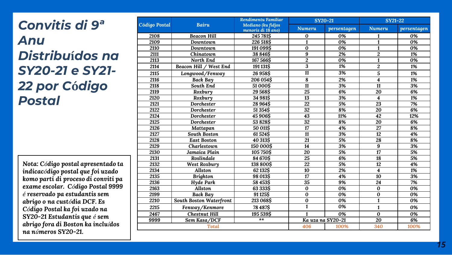# *Convitis di 9ª Anu Distribu***í***dos na SY20-21 e SY21- 22 por C***ó***digo Postal*

*Nota: Código postal apresentado ta indicacódigo postal que foi uzado komo parti di proceso di conviti pa exame escolar. Código Postal 9999 é reservado pa estudantis sem abrigo o na custódia DCF. Es Código Postal ka foi uzado na SY20-21 Estudantis que é sem abrigo fora di Boston ka incluídos na números SY20-21.*

|               |                         | Rendimentu Famíliar                      |                 | SY20-21           | $SY21-22$               |             |
|---------------|-------------------------|------------------------------------------|-----------------|-------------------|-------------------------|-------------|
| Código Postal | <b>Bairu</b>            | Mediano (ku fidjos<br>menoris di 18 ano) | <b>Numeru</b>   | persentagen       | <b>Numeru</b>           | persentagen |
| 2108          | <b>Beacon Hill</b>      | 245 781\$                                | 0               | 0%                | 1                       | 0%          |
| 2109          | Downtown                | 226 518\$                                | $\mathbf{1}$    | 0%                | $\mathbf{1}$            | 0%          |
| 2110          | Downtown                | 191099\$                                 | 0               | 0%                | $\mathbf{1}$            | 0%          |
| 2111          | Chinatown               | 38 846\$                                 | 9               | 2%                | $\overline{c}$          | 1%          |
| 2113          | North End               | 167566\$                                 | $\overline{c}$  | 0%                | $\mathbf{1}$            | 0%          |
| 2114          | Beacon Hill / West End  | 191131\$                                 | 3               | 1%                | $\overline{2}$          | 1%          |
| 2115          | Longwood/Fenway         | 26958\$                                  | 11              | 3%                | 5                       | 1%          |
| 2116          | Back Bay                | 206 054\$                                | 8               | 2%                | $\overline{\mathbf{4}}$ | 1%          |
| 2118          | South End               | 51000\$                                  | 11              | 3%                | $\overline{11}$         | 3%          |
| 2119          | Roxbury                 | 29568\$                                  | 25              | 6%                | 20                      | 6%          |
| 2120          | Roxbury                 | 34 981\$                                 | 13              | 3%                | $\overline{\mathbf{4}}$ | 1%          |
| 2121          | Dorchester              | 28964\$                                  | 22              | 5%                | 23                      | 7%          |
| 2122          | Dorchester              | 51 354\$                                 | 32              | 8%                | 20                      | 6%          |
| 2124          | Dorchester              | 45 906\$                                 | $\overline{43}$ | 11%               | $\overline{42}$         | 12%         |
| 2125          | Dorchester              | 53828\$                                  | $\overline{32}$ | 8%                | 20                      | 6%          |
| 2126          | Mattapan                | 50 011\$                                 | 17              | 4%                | 27                      | 8%          |
| 2127          | <b>South Boston</b>     | 61524\$                                  | 11              | 3%                | 12                      | 4%          |
| 2128          | <b>East Boston</b>      | 40 313\$                                 | 21              | 5%                | 28                      | 8%          |
| 2129          | Charlestown             | 150 000\$                                | 14              | 3%                | 9                       | 3%          |
| 2130          | Jamaica Plain           | 105750\$                                 | 20              | 5%                | $\overline{17}$         | 5%          |
| 2131          | Roslindale              | 84 670\$                                 | 25              | 6%                | 18                      | 5%          |
| 2132          | West Roxbury            | 138 800\$                                | $\overline{22}$ | 5%                | $\overline{12}$         | 4%          |
| 2134          | <b>Allston</b>          | 62 132S                                  | 10              | 2%                | 4                       | 1%          |
| 2135          | <b>Brighton</b>         | 98 013\$                                 | 17              | 4%                | 10                      | 3%          |
| 2136          | Hyde Park               | 58 4 53\$                                | $\overline{35}$ | 9%                | $\overline{24}$         | 7%          |
| 2163          | Allston                 | 63 333\$                                 | 0               | 0%                | $\bf{0}$                | 0%          |
| 2199          | Back Bay                | 91125\$                                  | 0               | 0%                | $\bf{0}$                | 0%          |
| 2210          | South Boston Waterfront | 213 068\$                                | 0               | 0%                | $\mathbf{1}$            | 0%          |
| 2215          | Fenway/Kenmore          | 78487\$                                  | 1               | 0%                | $\mathbf{1}$            | 0%          |
| 2467          | <b>Chestnut Hill</b>    | 195 539\$                                | $\mathbf{1}$    | 0%                | $\bf{0}$                | 0%          |
| 9999          | Sem Kasa/DCF            | $**$                                     |                 | Ka uza na SY20-21 | 20                      | 6%          |
|               | <b>Total</b>            |                                          | 406             | 100%              | 340                     | 100%        |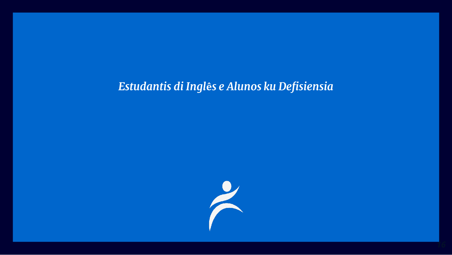#### Estudantis di Inglês e Alunos ku Defisiensia

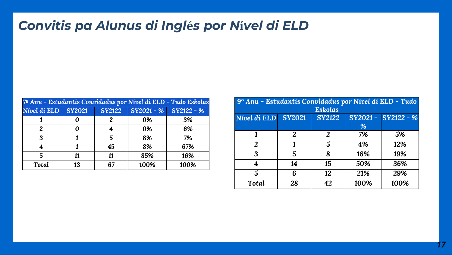# *Convitis pa Alunus di Ingl***é***s por N***í***vel di ELD*

| 7º Anu - Estudantis Convidadus por Nível di ELD - Tudo Eskolas |               |               |      |                         |  |  |  |
|----------------------------------------------------------------|---------------|---------------|------|-------------------------|--|--|--|
| Nível di ELD                                                   | <b>SY2021</b> | <b>SY2122</b> |      | $SY2021 - %$ SY2122 - % |  |  |  |
|                                                                |               | 2             | 0%   | 3%                      |  |  |  |
|                                                                |               |               | 0%   | 6%                      |  |  |  |
| 3                                                              |               | 5             | 8%   | 7%                      |  |  |  |
|                                                                |               | 45            | 8%   | 67%                     |  |  |  |
| 5                                                              | 11            | 11            | 85%  | 16%                     |  |  |  |
| Total                                                          | 13            | 67            | 100% | 100%                    |  |  |  |

|              | 9º Anu - Estudantis Convidadus por Nível di ELD - Tudo |                |         |              |  |  |  |
|--------------|--------------------------------------------------------|----------------|---------|--------------|--|--|--|
|              |                                                        | <b>Eskolas</b> |         |              |  |  |  |
| Nível di ELD | <b>SY2021</b>                                          | <b>SY2122</b>  | SY2021- | $SY2122 - %$ |  |  |  |
|              |                                                        |                | %       |              |  |  |  |
| 1            | 2                                                      | 2              | 7%      | 5%           |  |  |  |
| 2            | 1                                                      | 5              | 4%      | 12%          |  |  |  |
| 3            | 5                                                      | 8              | 18%     | 19%          |  |  |  |
| 4            | 14                                                     | 15             | 50%     | 36%          |  |  |  |
| 5            | 6                                                      | 12             | 21%     | 29%          |  |  |  |
| <b>Total</b> | 28                                                     | 42             | 100%    | 100%         |  |  |  |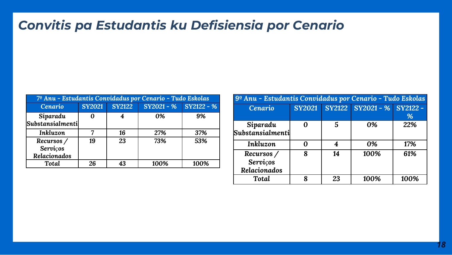## *Convitis pa Estudantis ku Defisiensia por Cenario*

| 7º Anu - Estudantis Convidadus por Cenario - Tudo Eskolas |               |               |                         |      |  |  |  |
|-----------------------------------------------------------|---------------|---------------|-------------------------|------|--|--|--|
| Cenario                                                   | <b>SY2021</b> | <b>SY2122</b> | $SY2021 - %$ SY2122 - % |      |  |  |  |
| Siparadu<br>Substansialmenti                              |               |               | 0%                      | 9%   |  |  |  |
| Inkluzon                                                  |               | 16            | 27%                     | 37%  |  |  |  |
| Recursos /<br>Serviços<br>Relacionados                    | 19            | 23            | 73%                     | 53%  |  |  |  |
| <b>Total</b>                                              | 26            | 43            | 100%                    | 100% |  |  |  |

| 9º Anu - Estudantis Convidadus por Cenario - Tudo Eskolas |               |    |                            |      |  |  |  |
|-----------------------------------------------------------|---------------|----|----------------------------|------|--|--|--|
| Cenario                                                   | <b>SY2021</b> |    | SY2122 SY2021 - % SY2122 - |      |  |  |  |
|                                                           |               |    |                            | %    |  |  |  |
| Siparadu                                                  |               | 5  | 0%                         | 22%  |  |  |  |
| ${\small\textbf{Substansialmenti}}$                       |               |    |                            |      |  |  |  |
| Inkluzon                                                  |               | 4  | 0%                         | 17%  |  |  |  |
| Recursos /                                                | 8             | 14 | 100%                       | 61%  |  |  |  |
| <b>Servicos</b>                                           |               |    |                            |      |  |  |  |
| Relacionados                                              |               |    |                            |      |  |  |  |
| Total                                                     | 8             | 23 | 100%                       | 100% |  |  |  |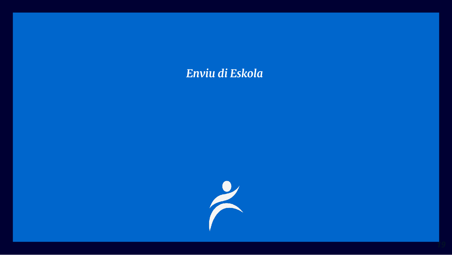#### Enviu di Eskola

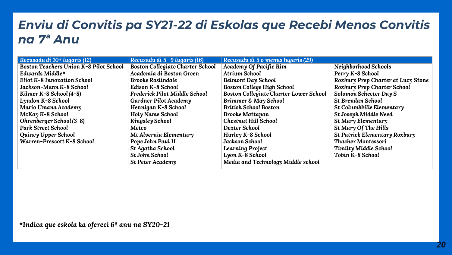### *Enviu di Convitis pa SY21-22 di Eskolas que Recebi Menos Convitis na 7ª Anu*

| Recusadu di 10+ lugaris (12)                  | Recusadu di 5-9 lugaris (16)            | Recusadu di 5 o menus lugaris (29)            |                                    |
|-----------------------------------------------|-----------------------------------------|-----------------------------------------------|------------------------------------|
| <b>Boston Teachers Union K-8 Pilot School</b> | <b>Boston Collegiate Charter School</b> | Academy Of Pacific Rim                        | Neighborhood Schools               |
| Edwards Middle*                               | Academia di Boston Green                | <b>Atrium School</b>                          | Perry K-8 School                   |
| <b>Eliot K-8 Innovation School</b>            | <b>Brooke Roslindale</b>                | Belmont Day School                            | Roxbury Prep Charter at Lucy Stone |
| Jackson-Mann K-8 School                       | Edison K-8 School                       | <b>Boston College High School</b>             | Roxbury Prep Charter School        |
| Kilmer K-8 School (4-8)                       | Frederick Pilot Middle School           | <b>Boston Collegiate Charter Lower School</b> | Solomon Schecter Day S             |
| Lyndon K-8 School                             | Gardner Pilot Academy                   | Brimmer & May School                          | <b>St Brendan School</b>           |
| Mario Umana Academy                           | Hennigan K-8 School                     | <b>British School Boston</b>                  | St Columbkille Elementary          |
| McKay K-8 School                              | Holy Name School                        | <b>Brooke Mattapan</b>                        | St Joseph Middle Need              |
| Ohrenberger School (3-8)                      | <b>Kingsley School</b>                  | <b>Chestnut Hill School</b>                   | St Mary Elementary                 |
| <b>Park Street School</b>                     | Metco                                   | Dexter School                                 | St Mary Of The Hills               |
| <b>Quincy Upper School</b>                    | Mt Alvernia Elementary                  | Hurley K-8 School                             | St Patrick Elementary Roxbury      |
| Warren-Prescott K-8 School                    | Pope John Paul II                       | <b>Jackson School</b>                         | Thacher Montessori                 |
|                                               | St Agatha School                        | <b>Learning Project</b>                       | Timilty Middle School              |
|                                               | <b>St John School</b>                   | Lyon K-8 School                               | Tobin K-8 School                   |
|                                               | <b>St Peter Academy</b>                 | Media and Technology Middle school            |                                    |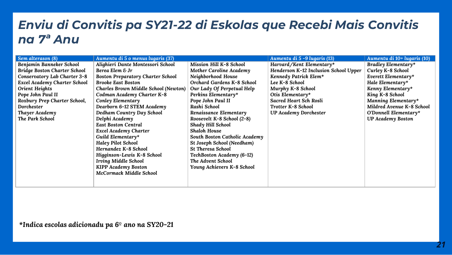#### *Enviu di Convitis pa SY21-22 di Eskolas que Recebi Mais Convitis na 7ª Anu*

| Sem alterason (8)                   | Aumentu di 5 o menus lugaris (37)        |                                   | Aumentu di 5-9 lugaris (13)           | Aumentu di 10+ lugaris (10) |
|-------------------------------------|------------------------------------------|-----------------------------------|---------------------------------------|-----------------------------|
| Benjamin Banneker School            | Alighieri Dante Montessori School        | Mission Hill K-8 School           | Harvard/Kent Elementary*              | Bradley Elementary*         |
| <b>Bridge Boston Charter School</b> | Berea Elem & Jr                          | Mother Caroline Academy           | Henderson K-12 Inclusion School Upper | Curley K-8 School           |
| Conservatory Lab Charter 3-8        | <b>Boston Preparatory Charter School</b> | Neighborhood House                | Kennedy Patrick Elem*                 | Everett Elementary*         |
| <b>Excel Academy Charter School</b> | <b>Brooke East Boston</b>                | <b>Orchard Gardens K-8 School</b> | Lee K-8 School                        | Hale Elementary*            |
| Orient Heights                      | Charles Brown Middle School (Newton)     | Our Lady Of Perpetual Help        | Murphy K-8 School                     | Kenny Elementary*           |
| Pope John Paul II                   | Codman Academy Charter K-8               | Perkins Elementary*               | Otis Elementary*                      | King K-8 School             |
| Roxbury Prep Charter School,        | Conley Elementary                        | Pope John Paul II                 | Sacred Heart Sch Rosli                | Manning Elementary*         |
| Dorchester                          | Dearborn 6-12 STEM Academy               | Rashi School                      | Trotter K-8 School                    | Mildred Avenue K-8 School   |
| Thayer Academy                      | Dedham Country Day School                | Renaissance Elementary            | <b>UP Academy Dorchester</b>          | O'Donnell Elementary*       |
| The Park School                     | Delphi Academy                           | Roosevelt K-8 School (2-8)        |                                       | <b>UP Academy Boston</b>    |
|                                     | <b>East Boston Central</b>               | Shady Hill School                 |                                       |                             |
|                                     | Excel Academy Charter                    | <b>Shaloh House</b>               |                                       |                             |
|                                     | Guild Elementary*                        | South Boston Catholic Academy     |                                       |                             |
|                                     | Haley Pilot School                       | St Joseph School (Needham)        |                                       |                             |
|                                     | Hernandez K-8 School                     | <b>St Theresa School</b>          |                                       |                             |
|                                     | Higginson-Lewis K-8 School               | TechBoston Academy (6-12)         |                                       |                             |
|                                     | <b>Irving Middle School</b>              | The Advent School                 |                                       |                             |
|                                     | <b>KIPP Academy Boston</b>               | Young Achievers K-8 School        |                                       |                             |
|                                     | McCormack Middle School                  |                                   |                                       |                             |
|                                     |                                          |                                   |                                       |                             |
|                                     |                                          |                                   |                                       |                             |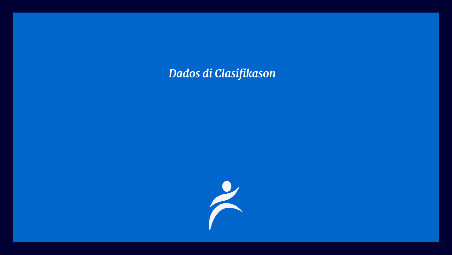### *Dados di Clasifikason*



*22*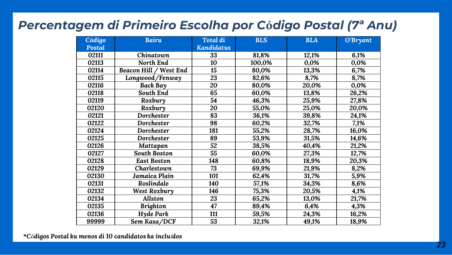#### *Percentagem di Primeiro Escolha por C***ó***digo Postal (7ª Anu)*

| Código | <b>Bairu</b>           | <b>Total di</b>   | <b>BLS</b> | <b>BLA</b> | O'Bryant |
|--------|------------------------|-------------------|------------|------------|----------|
| Postal |                        | <b>Kandidatus</b> |            |            |          |
| 02111  | Chinatown              | 33                | 81,8%      | 12,1%      | 6,1%     |
| 02113  | North End              | 10                | 100,0%     | 0,0%       | 0,0%     |
| 02114  | Beacon Hill / West End | $\overline{15}$   | 80,0%      | 13,3%      | 6,7%     |
| 02115  | Longwood/Fenway        | 23                | 82,6%      | 8,7%       | 8,7%     |
| 02116  | Back Bay               | 20                | 80,0%      | 20,0%      | 0,0%     |
| 02118  | South End              | 65                | 60,0%      | 13,8%      | 26,2%    |
| 02119  | Roxbury                | $\overline{54}$   | 46,3%      | 25,9%      | 27,8%    |
| 02120  | Roxbury                | 20                | 55,0%      | 25,0%      | 20,0%    |
| 02121  | Dorchester             | 83                | 36,1%      | 39,8%      | 24,1%    |
| 02122  | Dorchester             | 98                | 60,2%      | 32,7%      | 7,1%     |
| 02124  | Dorchester             | 181               | 55,2%      | 28,7%      | 16,0%    |
| 02125  | Dorchester             | 89                | 53,9%      | 31,5%      | 14,6%    |
| 02126  | Mattapan               | 52                | 38,5%      | 40,4%      | 21,2%    |
| 02127  | <b>South Boston</b>    | $\overline{55}$   | 60,0%      | 27,3%      | 12,7%    |
| 02128  | <b>East Boston</b>     | 148               | 60,8%      | 18,9%      | 20,3%    |
| 02129  | Charlestown            | 73                | 69,9%      | 21,9%      | 8,2%     |
| 02130  | Jamaica Plain          | 101               | 62,4%      | 31,7%      | 5,9%     |
| 02131  | Roslindale             | 140               | 57,1%      | 34,3%      | 8,6%     |
| 02132  | West Roxbury           | 146               | 75,3%      | 20,5%      | 4,1%     |
| 02134  | <b>Allston</b>         | 23                | 65,2%      | 13,0%      | 21,7%    |
| 02135  | <b>Brighton</b>        | 47                | 89,4%      | 6,4%       | 4,3%     |
| 02136  | Hyde Park              | 111               | 59,5%      | 24,3%      | 16,2%    |
| 99999  | Sem Kasa/DCF           | 53                | 32,1%      | 49,1%      | 18,9%    |

*\*Códigos Postal ku menos di 10 candidatos ka incluídos*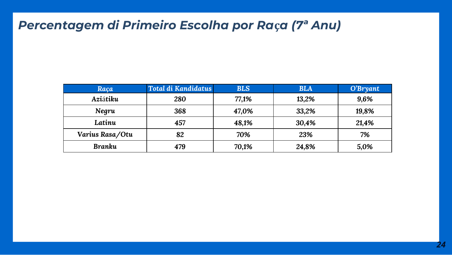### *Percentagem di Primeiro Escolha por Ra***ç***a (7ª Anu)*

| Raça            | Total di Kandidatus | <b>BLS</b> | <b>BLA</b> | O'Bryant |
|-----------------|---------------------|------------|------------|----------|
| Aziátiku        | 280                 | 77,1%      | 13,2%      | 9,6%     |
| Negru           | 368                 | 47,0%      | 33,2%      | 19,8%    |
| Latinu          | 457                 | 48,1%      | 30,4%      | 21,4%    |
| Varius Rasa/Otu | 82                  | 70%        | 23%        | 7%       |
| <b>Branku</b>   | 479                 | 70,1%      | 24,8%      | 5,0%     |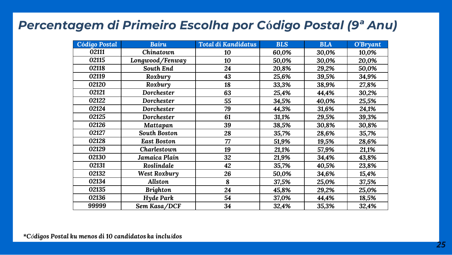#### *Percentagem di Primeiro Escolha por C***ó***digo Postal (9ª Anu)*

| <b>Código Postal</b> | <b>Bairu</b>       | <b>Total di Kandidatus</b> | <b>BLS</b> | <b>BLA</b> | O'Bryant |
|----------------------|--------------------|----------------------------|------------|------------|----------|
| 02111                | Chinatown          | 10                         | 60,0%      | 30,0%      | 10,0%    |
| 02115                | Longwood/Fenway    | 10                         | 50,0%      | 30,0%      | 20,0%    |
| 02118                | South End          | 24                         | 20,8%      | 29,2%      | 50,0%    |
| 02119                | Roxbury            | 43                         | 25,6%      | 39,5%      | 34,9%    |
| 02120                | Roxbury            | 18                         | 33,3%      | 38,9%      | 27,8%    |
| 02121                | Dorchester         | 63                         | 25,4%      | 44,4%      | 30,2%    |
| 02122                | Dorchester         | 55                         | 34,5%      | 40,0%      | 25,5%    |
| 02124                | Dorchester         | 79                         | 44,3%      | 31,6%      | 24,1%    |
| 02125                | Dorchester         | 61                         | 31,1%      | 29,5%      | 39,3%    |
| 02126                | Mattapan           | 39                         | 38,5%      | 30,8%      | 30,8%    |
| 02127                | South Boston       | 28                         | 35,7%      | 28,6%      | 35,7%    |
| 02128                | <b>East Boston</b> | 77                         | 51,9%      | 19,5%      | 28,6%    |
| 02129                | Charlestown        | 19                         | 21,1%      | 57,9%      | 21,1%    |
| 02130                | Jamaica Plain      | 32                         | 21,9%      | 34,4%      | 43,8%    |
| 02131                | Roslindale         | 42                         | 35,7%      | 40,5%      | 23,8%    |
| 02132                | West Roxbury       | 26                         | 50,0%      | 34,6%      | 15,4%    |
| 02134                | <b>Allston</b>     | 8                          | 37,5%      | 25,0%      | 37,5%    |
| 02135                | <b>Brighton</b>    | 24                         | 45,8%      | 29,2%      | 25,0%    |
| 02136                | Hyde Park          | 54                         | 37,0%      | 44,4%      | 18,5%    |
| 99999                | Sem Kasa/DCF       | 34                         | 32,4%      | 35,3%      | 32,4%    |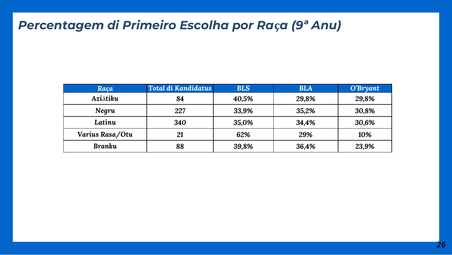### *Percentagem di Primeiro Escolha por Ra***ç***a (9ª Anu)*

| Raça            | <b>Total di Kandidatus</b> | <b>BLS</b> | <b>BLA</b> | O'Bryant |
|-----------------|----------------------------|------------|------------|----------|
| Aziátiku        | 84                         | 40,5%      | 29,8%      | 29,8%    |
| Negru           | 227                        | 33,9%      | 35,2%      | 30,8%    |
| Latinu          | 340                        | 35,0%      | 34,4%      | 30,6%    |
| Varius Rasa/Otu | 21                         | 62%        | 29%        | 10%      |
| <b>Branku</b>   | 88                         | 39,8%      | 36,4%      | 23,9%    |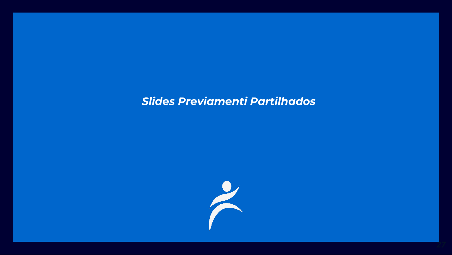#### *Slides Previamenti Partilhados*



*27*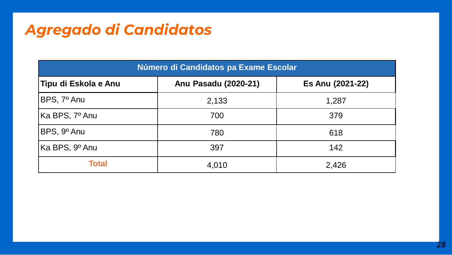# *Agregado di Candidatos*

| Número di Candidatos pa Exame Escolar |                      |                  |  |  |  |  |
|---------------------------------------|----------------------|------------------|--|--|--|--|
| Tipu di Eskola e Anu                  | Anu Pasadu (2020-21) | Es Anu (2021-22) |  |  |  |  |
| BPS, 7º Anu                           | 2,133                | 1,287            |  |  |  |  |
| Ka BPS, 7º Anu                        | 700                  | 379              |  |  |  |  |
| BPS, 9º Anu                           | 780                  | 618              |  |  |  |  |
| Ka BPS, 9º Anu                        | 397                  | 142              |  |  |  |  |
| <b>Total</b>                          | 4,010                | 2,426            |  |  |  |  |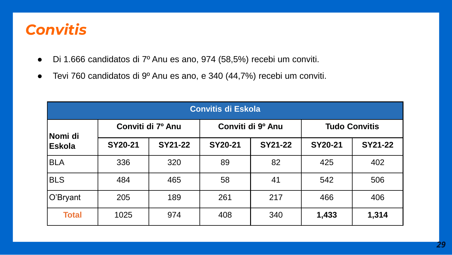# *Convitis*

- Di 1.666 candidatos di 7º Anu es ano, 974 (58,5%) recebi um conviti.
- Tevi 760 candidatos di 9º Anu es ano, e 340 (44,7%) recebi um conviti.

| <b>Convitis di Eskola</b> |                   |         |                   |         |                      |                |  |
|---------------------------|-------------------|---------|-------------------|---------|----------------------|----------------|--|
| Nomi di                   | Conviti di 7º Anu |         | Conviti di 9º Anu |         | <b>Tudo Convitis</b> |                |  |
| <b>Eskola</b>             | SY20-21           | SY21-22 | SY20-21           | SY21-22 | SY20-21              | <b>SY21-22</b> |  |
| <b>BLA</b>                | 336               | 320     | 89                | 82      | 425                  | 402            |  |
| <b>BLS</b>                | 484               | 465     | 58                | 41      | 542                  | 506            |  |
| O'Bryant                  | 205               | 189     | 261               | 217     | 466                  | 406            |  |
| <b>Total</b>              | 1025              | 974     | 408               | 340     | 1,433                | 1,314          |  |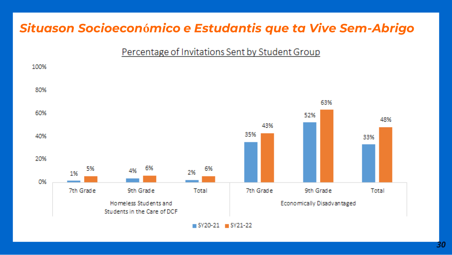### Situason Socioeconómico e Estudantis que ta Vive Sem-Abrigo

#### Percentage of Invitations Sent by Student Group

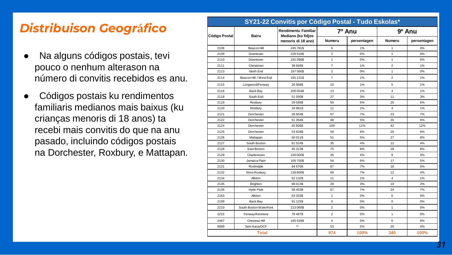### *Distribuison Geogr***á***fico*

- Na alguns códigos postais, tevi pouco o nenhum alterason na número di convitis recebidos es anu.
- Códigos postais ku rendimentos familiaris medianos mais baixus (ku crianças menoris di 18 anos) ta recebi mais convitis do que na anu pasado, incluindo códigos postais na Dorchester, Roxbury, e Mattapan.

|                      | SY21-22 Convitis por Código Postal - Tudo Eskolas*<br>Rendimentu Famíliar |                                          |                         |             |                |             |  |
|----------------------|---------------------------------------------------------------------------|------------------------------------------|-------------------------|-------------|----------------|-------------|--|
| <b>Código Postal</b> | Bairu                                                                     | Mediano (ku fidjos<br>menoris di 18 ano) | 7º Anu                  |             | 9º Anu         |             |  |
|                      |                                                                           |                                          | <b>Numeru</b>           | persentagen | Numeru         | persentagen |  |
| 2108                 | Beacon Hill                                                               | 245781\$                                 | 6                       | 1%          | 1              | 0%          |  |
| 2109                 | Downtown                                                                  | 226518\$                                 | $\overline{c}$          | 0%          | $\mathbf{1}$   | 0%          |  |
| 2110                 | Downtown                                                                  | 191099\$                                 | 1                       | 0%          | $\mathbf{1}$   | 0%          |  |
| 2111                 | Chinatown                                                                 | 38 846\$                                 | $\overline{7}$          | 1%          | $\overline{2}$ | 1%          |  |
| 2113                 | North End                                                                 | 167566\$                                 | $\overline{c}$          | 0%          | 1              | 0%          |  |
| 2114                 | Beacon Hill / West End                                                    | 191131\$                                 | $\overline{7}$          | 1%          | $\overline{2}$ | 1%          |  |
| 2115                 | Longwood/Fenway                                                           | 26 958\$                                 | 10                      | 1%          | 5              | 1%          |  |
| 2116                 | Back Bay                                                                  | 206 054\$                                | 13                      | 1%          | 4              | 1%          |  |
| 2118                 | South End                                                                 | 51 000\$                                 | 27                      | 3%          | 11             | 3%          |  |
| 2119                 | Roxbury                                                                   | 29 5 68 \$                               | 50                      | 5%          | 20             | 6%          |  |
| 2120                 | Roxbury                                                                   | 34 981\$                                 | 11                      | 1%          | 4              | 1%          |  |
| 2121                 | Dorchester                                                                | 28 964\$                                 | 67                      | 7%          | 23             | 7%          |  |
| 2122                 | Dorchester                                                                | 51 354\$                                 | 48                      | 5%          | 20             | 6%          |  |
| 2124                 | Dorchester                                                                | 45 906\$                                 | 109                     | 11%         | 42             | 12%         |  |
| 2125                 | Dorchester                                                                | 53 828\$                                 | 59                      | 6%          | 20             | 6%          |  |
| 2126                 | Mattapan                                                                  | 50 011\$                                 | 51                      | 5%          | 27             | 8%          |  |
| 2127                 | South Boston                                                              | 61524\$                                  | 35                      | 4%          | 12             | 4%          |  |
| 2128                 | East Boston                                                               | 40 31 3 \$                               | 75                      | 8%          | 28             | 8%          |  |
| 2129                 | Charlestown                                                               | 150 000\$                                | 35                      | 4%          | 9              | 3%          |  |
| 2130                 | Jamaica Plain                                                             | 105750\$                                 | 54                      | 6%          | 17             | 5%          |  |
| 2131                 | Roslindale                                                                | 84 670\$                                 | 67                      | 7%          | 18             | 5%          |  |
| 2132                 | West Roxbury                                                              | 138 800\$                                | 69                      | 7%          | 12             | 4%          |  |
| 2134                 | Allston                                                                   | 62 132\$                                 | 11                      | 1%          | 4              | 1%          |  |
| 2135                 | <b>Brighton</b>                                                           | 98 013\$                                 | 29                      | 3%          | 10             | 3%          |  |
| 2136                 | Hyde Park                                                                 | 58 453\$                                 | 67                      | 7%          | 24             | 7%          |  |
| 2163                 | Allston                                                                   | 63 333\$                                 | $\mathbf{1}$            | 0%          | 0              | 0%          |  |
| 2199                 | Back Bav                                                                  | 91 125\$                                 | $\mathbf 0$             | 0%          | 0              | 0%          |  |
| 2210                 | South Boston Waterfront                                                   | 213068\$                                 | $\overline{c}$          | 0%          | 1              | 0%          |  |
| 2215                 | Fenway/Kenmore                                                            | 78 487\$                                 | $\overline{a}$          | 0%          | $\mathbf{1}$   | 0%          |  |
| 2467                 | Chestnut Hill                                                             | 195539\$                                 | $\overline{\mathbf{4}}$ | 0%          | $\Omega$       | 0%          |  |
| 9999                 | Sem Kasa/DCF                                                              | ××                                       | 53                      | 5%          | 20             | 6%          |  |
|                      | <b>Total</b>                                                              |                                          | 974                     | 100%        | 340            | 100%        |  |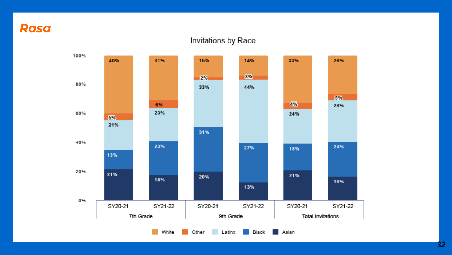#### **Rasa**

#### Invitations by Race



 $32$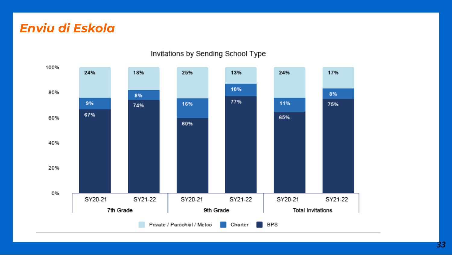### *Enviu di Eskola*



#### Invitations by Sending School Type